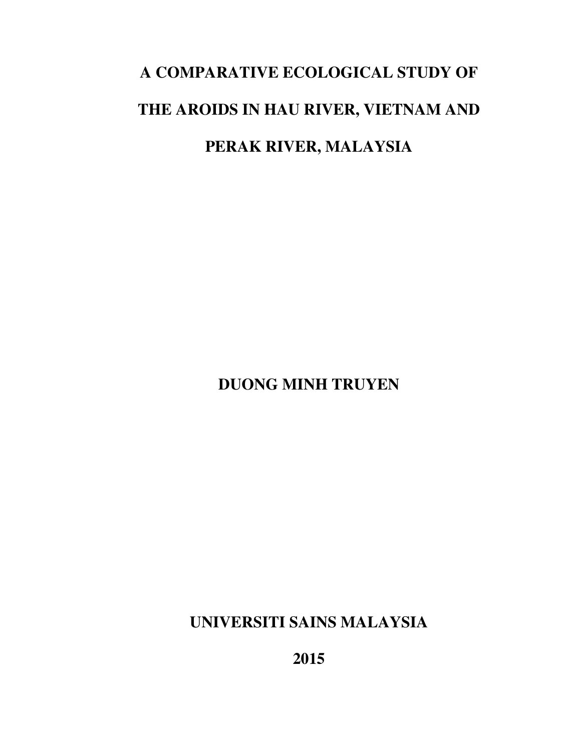# **A COMPARATIVE ECOLOGICAL STUDY OF THE AROIDS IN HAU RIVER, VIETNAM AND PERAK RIVER, MALAYSIA**

**DUONG MINH TRUYEN** 

**UNIVERSITI SAINS MALAYSIA** 

**2015**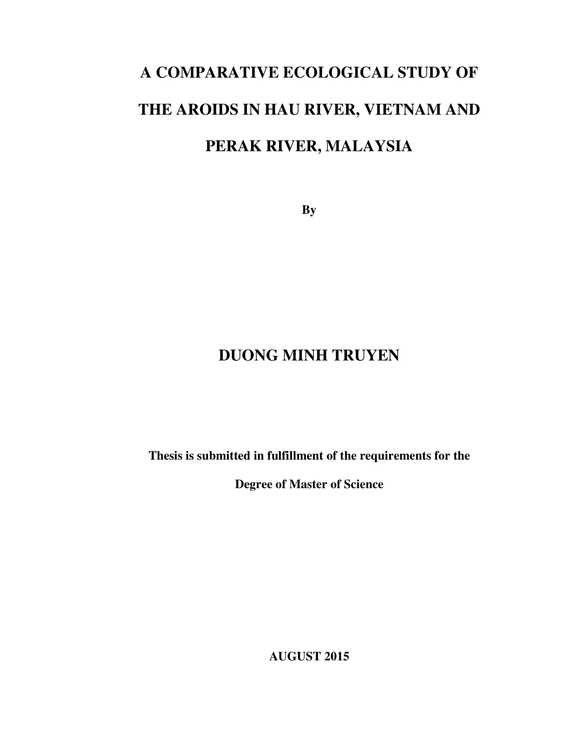# **A COMPARATIVE ECOLOGICAL STUDY OF THE AROIDS IN HAU RIVER, VIETNAM AND PERAK RIVER, MALAYSIA**

**By** 

## **DUONG MINH TRUYEN**

**Thesis is submitted in fulfillment of the requirements for the** 

**Degree of Master of Science** 

**AUGUST 2015**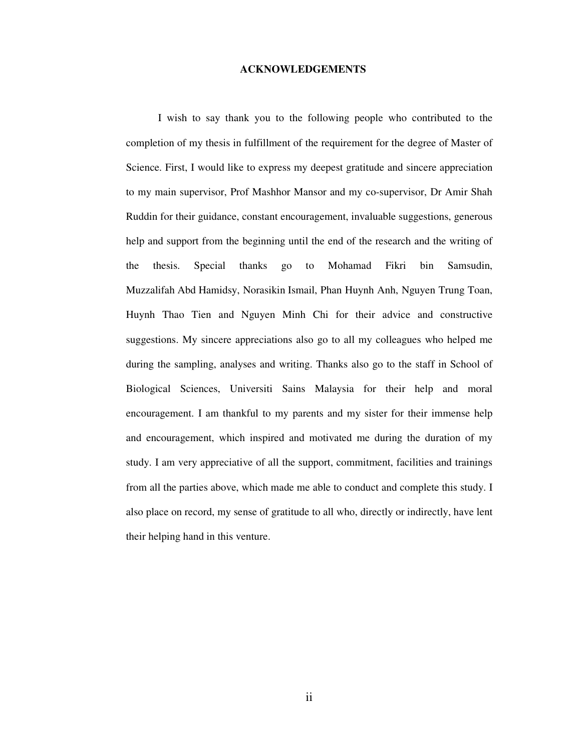#### **ACKNOWLEDGEMENTS**

I wish to say thank you to the following people who contributed to the completion of my thesis in fulfillment of the requirement for the degree of Master of Science. First, I would like to express my deepest gratitude and sincere appreciation to my main supervisor, Prof Mashhor Mansor and my co-supervisor, Dr Amir Shah Ruddin for their guidance, constant encouragement, invaluable suggestions, generous help and support from the beginning until the end of the research and the writing of the thesis. Special thanks go to Mohamad Fikri bin Samsudin, Muzzalifah Abd Hamidsy, Norasikin Ismail, Phan Huynh Anh, Nguyen Trung Toan, Huynh Thao Tien and Nguyen Minh Chi for their advice and constructive suggestions. My sincere appreciations also go to all my colleagues who helped me during the sampling, analyses and writing. Thanks also go to the staff in School of Biological Sciences, Universiti Sains Malaysia for their help and moral encouragement. I am thankful to my parents and my sister for their immense help and encouragement, which inspired and motivated me during the duration of my study. I am very appreciative of all the support, commitment, facilities and trainings from all the parties above, which made me able to conduct and complete this study. I also place on record, my sense of gratitude to all who, directly or indirectly, have lent their helping hand in this venture.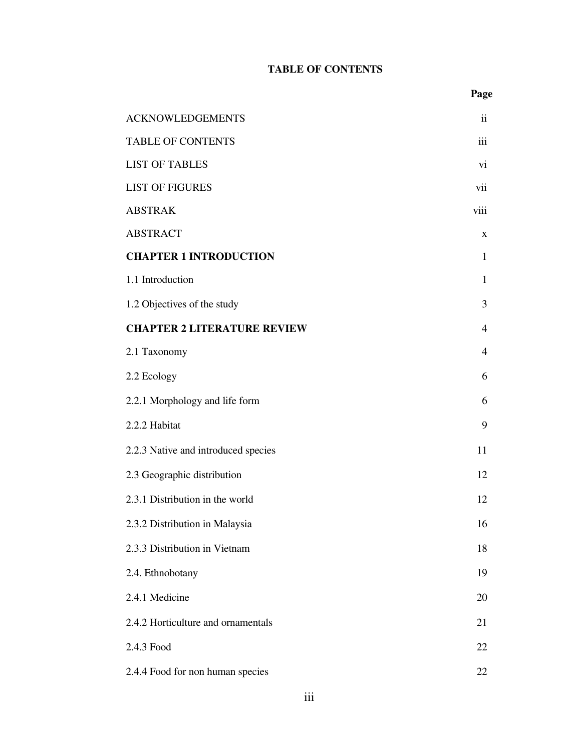## **TABLE OF CONTENTS**

| <b>ACKNOWLEDGEMENTS</b>             | $\ddot{\mathbf{i}}$ |
|-------------------------------------|---------------------|
| <b>TABLE OF CONTENTS</b>            | iii                 |
| <b>LIST OF TABLES</b>               | vi                  |
| <b>LIST OF FIGURES</b>              | vii                 |
| <b>ABSTRAK</b>                      | viii                |
| <b>ABSTRACT</b>                     | $\mathbf X$         |
| <b>CHAPTER 1 INTRODUCTION</b>       | $\mathbf{1}$        |
| 1.1 Introduction                    | $\mathbf{1}$        |
| 1.2 Objectives of the study         | 3                   |
| <b>CHAPTER 2 LITERATURE REVIEW</b>  | $\overline{4}$      |
| 2.1 Taxonomy                        | $\overline{4}$      |
| 2.2 Ecology                         | 6                   |
| 2.2.1 Morphology and life form      | 6                   |
| 2.2.2 Habitat                       | 9                   |
| 2.2.3 Native and introduced species | 11                  |
| 2.3 Geographic distribution         | 12                  |
| 2.3.1 Distribution in the world     | 12                  |
| 2.3.2 Distribution in Malaysia      | 16                  |
| 2.3.3 Distribution in Vietnam       | 18                  |
| 2.4. Ethnobotany                    | 19                  |
| 2.4.1 Medicine                      | 20                  |
| 2.4.2 Horticulture and ornamentals  | 21                  |
| 2.4.3 Food                          | 22                  |
| 2.4.4 Food for non human species    | 22                  |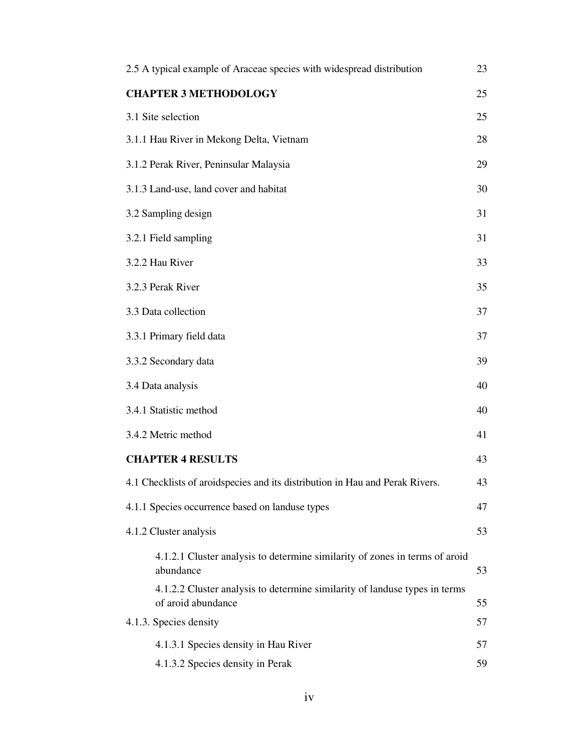| 2.5 A typical example of Araceae species with widespread distribution                            | 23 |
|--------------------------------------------------------------------------------------------------|----|
| <b>CHAPTER 3 METHODOLOGY</b>                                                                     | 25 |
| 3.1 Site selection                                                                               | 25 |
| 3.1.1 Hau River in Mekong Delta, Vietnam                                                         | 28 |
| 3.1.2 Perak River, Peninsular Malaysia                                                           | 29 |
| 3.1.3 Land-use, land cover and habitat                                                           | 30 |
| 3.2 Sampling design                                                                              | 31 |
| 3.2.1 Field sampling                                                                             | 31 |
| 3.2.2 Hau River                                                                                  | 33 |
| 3.2.3 Perak River                                                                                | 35 |
| 3.3 Data collection                                                                              | 37 |
| 3.3.1 Primary field data                                                                         | 37 |
| 3.3.2 Secondary data                                                                             | 39 |
| 3.4 Data analysis                                                                                | 40 |
| 3.4.1 Statistic method                                                                           | 40 |
| 3.4.2 Metric method                                                                              | 41 |
| <b>CHAPTER 4 RESULTS</b>                                                                         | 43 |
| 4.1 Checklists of aroidspecies and its distribution in Hau and Perak Rivers.                     | 43 |
| 4.1.1 Species occurrence based on landuse types                                                  | 47 |
| 4.1.2 Cluster analysis                                                                           | 53 |
| 4.1.2.1 Cluster analysis to determine similarity of zones in terms of aroid<br>abundance         | 53 |
| 4.1.2.2 Cluster analysis to determine similarity of landuse types in terms<br>of aroid abundance | 55 |
| 4.1.3. Species density                                                                           | 57 |
| 4.1.3.1 Species density in Hau River                                                             | 57 |
| 4.1.3.2 Species density in Perak                                                                 | 59 |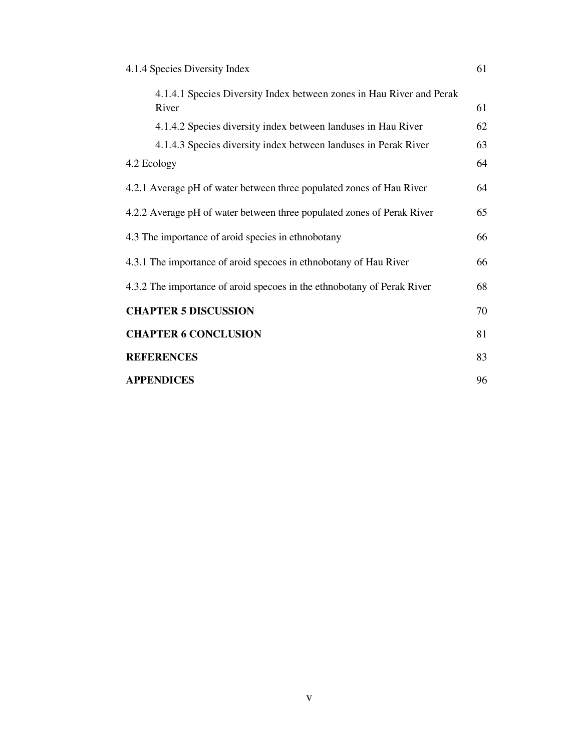| 4.1.4 Species Diversity Index |  |
|-------------------------------|--|
|-------------------------------|--|

| 4.1.4.1 Species Diversity Index between zones in Hau River and Perak<br>River | 61 |
|-------------------------------------------------------------------------------|----|
| 4.1.4.2 Species diversity index between landuses in Hau River                 | 62 |
| 4.1.4.3 Species diversity index between landuses in Perak River               | 63 |
| 4.2 Ecology                                                                   | 64 |
| 4.2.1 Average pH of water between three populated zones of Hau River          | 64 |
| 4.2.2 Average pH of water between three populated zones of Perak River        | 65 |
| 4.3 The importance of aroid species in ethnobotany                            | 66 |
| 4.3.1 The importance of aroid specoes in ethnobotany of Hau River             | 66 |
| 4.3.2 The importance of aroid specoes in the ethnobotany of Perak River       | 68 |
| <b>CHAPTER 5 DISCUSSION</b>                                                   | 70 |
| <b>CHAPTER 6 CONCLUSION</b>                                                   | 81 |
| <b>REFERENCES</b>                                                             | 83 |
| <b>APPENDICES</b>                                                             | 96 |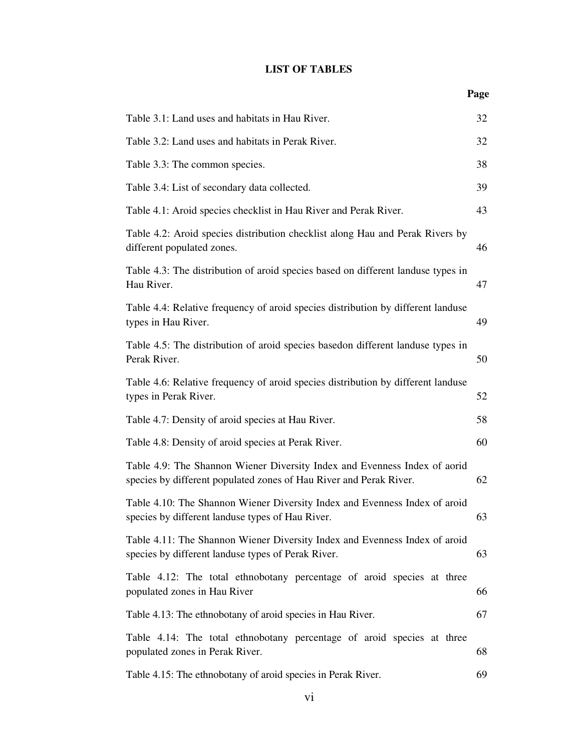### **LIST OF TABLES**

| Table 3.1: Land uses and habitats in Hau River.                                                                                                 | 32 |
|-------------------------------------------------------------------------------------------------------------------------------------------------|----|
| Table 3.2: Land uses and habitats in Perak River.                                                                                               | 32 |
| Table 3.3: The common species.                                                                                                                  | 38 |
| Table 3.4: List of secondary data collected.                                                                                                    | 39 |
| Table 4.1: Aroid species checklist in Hau River and Perak River.                                                                                | 43 |
| Table 4.2: Aroid species distribution checklist along Hau and Perak Rivers by<br>different populated zones.                                     | 46 |
| Table 4.3: The distribution of aroid species based on different landuse types in<br>Hau River.                                                  | 47 |
| Table 4.4: Relative frequency of aroid species distribution by different landuse<br>types in Hau River.                                         | 49 |
| Table 4.5: The distribution of aroid species basedon different landuse types in<br>Perak River.                                                 | 50 |
| Table 4.6: Relative frequency of aroid species distribution by different landuse<br>types in Perak River.                                       | 52 |
| Table 4.7: Density of aroid species at Hau River.                                                                                               | 58 |
| Table 4.8: Density of aroid species at Perak River.                                                                                             | 60 |
| Table 4.9: The Shannon Wiener Diversity Index and Evenness Index of aorid<br>species by different populated zones of Hau River and Perak River. | 62 |
| Table 4.10: The Shannon Wiener Diversity Index and Evenness Index of aroid<br>species by different landuse types of Hau River.                  | 63 |
| Table 4.11: The Shannon Wiener Diversity Index and Evenness Index of aroid<br>species by different landuse types of Perak River.                | 63 |
| Table 4.12: The total ethnobotany percentage of aroid species at three<br>populated zones in Hau River                                          | 66 |
| Table 4.13: The ethnobotany of aroid species in Hau River.                                                                                      | 67 |
| Table 4.14: The total ethnobotany percentage of aroid species at three<br>populated zones in Perak River.                                       | 68 |
| Table 4.15: The ethnobotany of aroid species in Perak River.                                                                                    | 69 |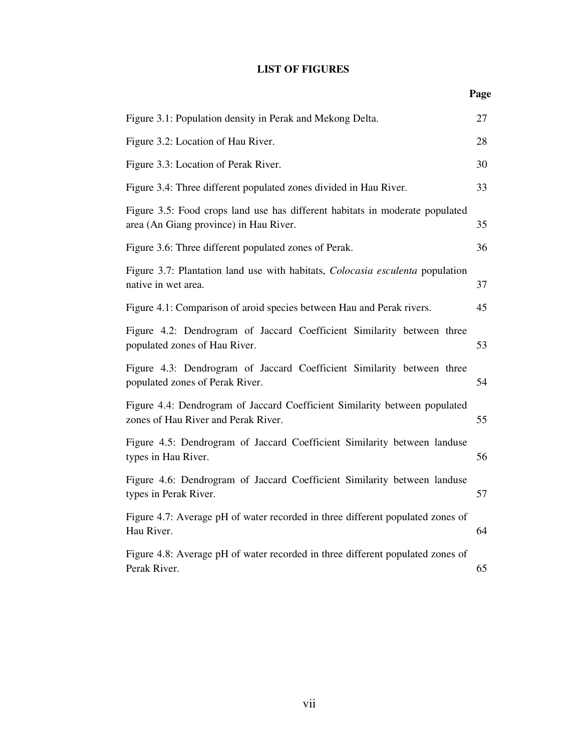## **LIST OF FIGURES**

| Figure 3.1: Population density in Perak and Mekong Delta.                                                              | 27 |
|------------------------------------------------------------------------------------------------------------------------|----|
| Figure 3.2: Location of Hau River.                                                                                     | 28 |
| Figure 3.3: Location of Perak River.                                                                                   | 30 |
| Figure 3.4: Three different populated zones divided in Hau River.                                                      | 33 |
| Figure 3.5: Food crops land use has different habitats in moderate populated<br>area (An Giang province) in Hau River. | 35 |
| Figure 3.6: Three different populated zones of Perak.                                                                  | 36 |
| Figure 3.7: Plantation land use with habitats, <i>Colocasia esculenta</i> population<br>native in wet area.            | 37 |
| Figure 4.1: Comparison of aroid species between Hau and Perak rivers.                                                  | 45 |
| Figure 4.2: Dendrogram of Jaccard Coefficient Similarity between three<br>populated zones of Hau River.                | 53 |
| Figure 4.3: Dendrogram of Jaccard Coefficient Similarity between three<br>populated zones of Perak River.              | 54 |
| Figure 4.4: Dendrogram of Jaccard Coefficient Similarity between populated<br>zones of Hau River and Perak River.      | 55 |
| Figure 4.5: Dendrogram of Jaccard Coefficient Similarity between landuse<br>types in Hau River.                        | 56 |
| Figure 4.6: Dendrogram of Jaccard Coefficient Similarity between landuse<br>types in Perak River.                      | 57 |
| Figure 4.7: Average pH of water recorded in three different populated zones of<br>Hau River.                           | 64 |
| Figure 4.8: Average pH of water recorded in three different populated zones of<br>Perak River.                         | 65 |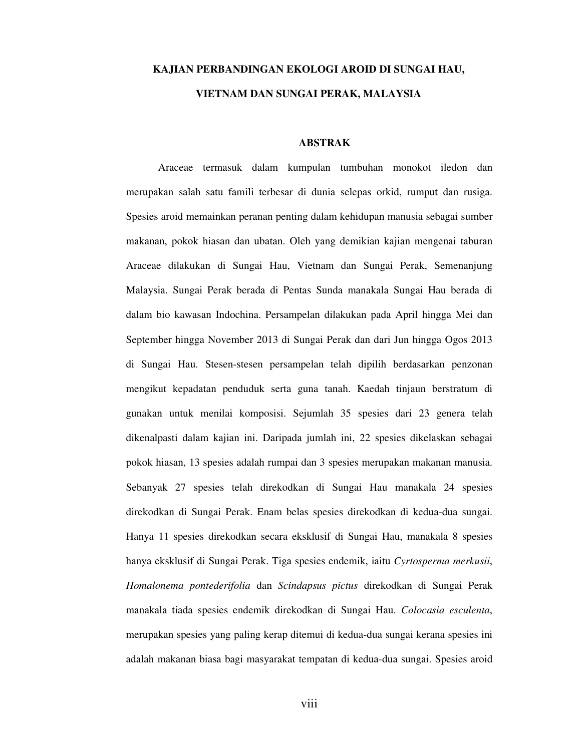## **KAJIAN PERBANDINGAN EKOLOGI AROID DI SUNGAI HAU, VIETNAM DAN SUNGAI PERAK, MALAYSIA**

#### **ABSTRAK**

Araceae termasuk dalam kumpulan tumbuhan monokot iledon dan merupakan salah satu famili terbesar di dunia selepas orkid, rumput dan rusiga. Spesies aroid memainkan peranan penting dalam kehidupan manusia sebagai sumber makanan, pokok hiasan dan ubatan. Oleh yang demikian kajian mengenai taburan Araceae dilakukan di Sungai Hau, Vietnam dan Sungai Perak, Semenanjung Malaysia. Sungai Perak berada di Pentas Sunda manakala Sungai Hau berada di dalam bio kawasan Indochina. Persampelan dilakukan pada April hingga Mei dan September hingga November 2013 di Sungai Perak dan dari Jun hingga Ogos 2013 di Sungai Hau. Stesen-stesen persampelan telah dipilih berdasarkan penzonan mengikut kepadatan penduduk serta guna tanah. Kaedah tinjaun berstratum di gunakan untuk menilai komposisi. Sejumlah 35 spesies dari 23 genera telah dikenalpasti dalam kajian ini. Daripada jumlah ini, 22 spesies dikelaskan sebagai pokok hiasan, 13 spesies adalah rumpai dan 3 spesies merupakan makanan manusia. Sebanyak 27 spesies telah direkodkan di Sungai Hau manakala 24 spesies direkodkan di Sungai Perak. Enam belas spesies direkodkan di kedua-dua sungai. Hanya 11 spesies direkodkan secara eksklusif di Sungai Hau, manakala 8 spesies hanya eksklusif di Sungai Perak. Tiga spesies endemik, iaitu *Cyrtosperma merkusii*, *Homalonema pontederifolia* dan *Scindapsus pictus* direkodkan di Sungai Perak manakala tiada spesies endemik direkodkan di Sungai Hau. *Colocasia esculenta*, merupakan spesies yang paling kerap ditemui di kedua-dua sungai kerana spesies ini adalah makanan biasa bagi masyarakat tempatan di kedua-dua sungai. Spesies aroid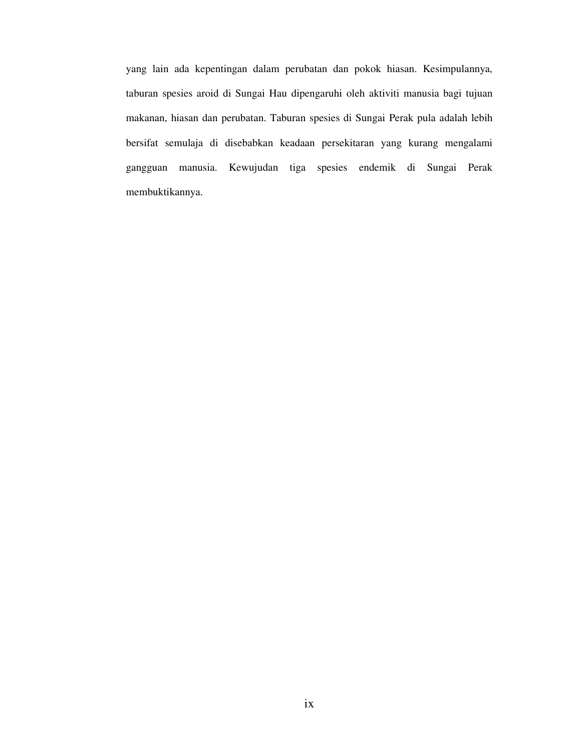yang lain ada kepentingan dalam perubatan dan pokok hiasan. Kesimpulannya, taburan spesies aroid di Sungai Hau dipengaruhi oleh aktiviti manusia bagi tujuan makanan, hiasan dan perubatan. Taburan spesies di Sungai Perak pula adalah lebih bersifat semulaja di disebabkan keadaan persekitaran yang kurang mengalami gangguan manusia. Kewujudan tiga spesies endemik di Sungai Perak membuktikannya.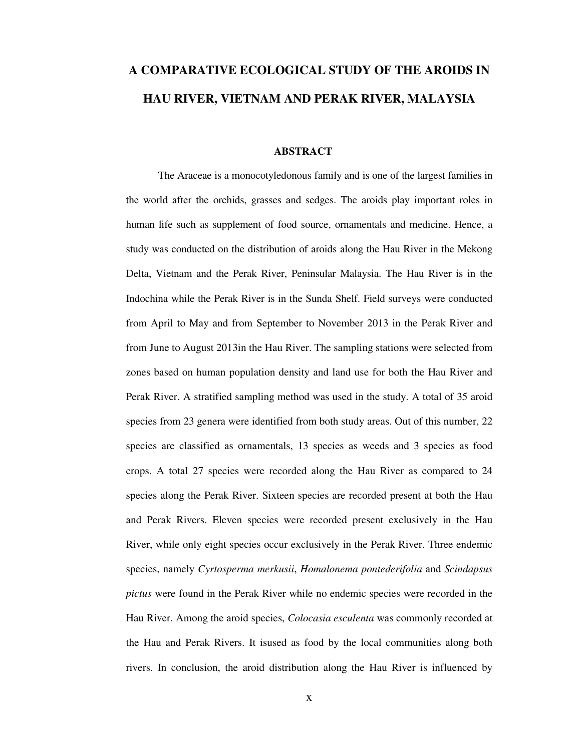# **A COMPARATIVE ECOLOGICAL STUDY OF THE AROIDS IN HAU RIVER, VIETNAM AND PERAK RIVER, MALAYSIA**

#### **ABSTRACT**

The Araceae is a monocotyledonous family and is one of the largest families in the world after the orchids, grasses and sedges. The aroids play important roles in human life such as supplement of food source, ornamentals and medicine. Hence, a study was conducted on the distribution of aroids along the Hau River in the Mekong Delta, Vietnam and the Perak River, Peninsular Malaysia. The Hau River is in the Indochina while the Perak River is in the Sunda Shelf. Field surveys were conducted from April to May and from September to November 2013 in the Perak River and from June to August 2013in the Hau River. The sampling stations were selected from zones based on human population density and land use for both the Hau River and Perak River. A stratified sampling method was used in the study. A total of 35 aroid species from 23 genera were identified from both study areas. Out of this number, 22 species are classified as ornamentals, 13 species as weeds and 3 species as food crops. A total 27 species were recorded along the Hau River as compared to 24 species along the Perak River. Sixteen species are recorded present at both the Hau and Perak Rivers. Eleven species were recorded present exclusively in the Hau River, while only eight species occur exclusively in the Perak River. Three endemic species, namely *Cyrtosperma merkusii*, *Homalonema pontederifolia* and *Scindapsus pictus* were found in the Perak River while no endemic species were recorded in the Hau River. Among the aroid species, *Colocasia esculenta* was commonly recorded at the Hau and Perak Rivers. It isused as food by the local communities along both rivers. In conclusion, the aroid distribution along the Hau River is influenced by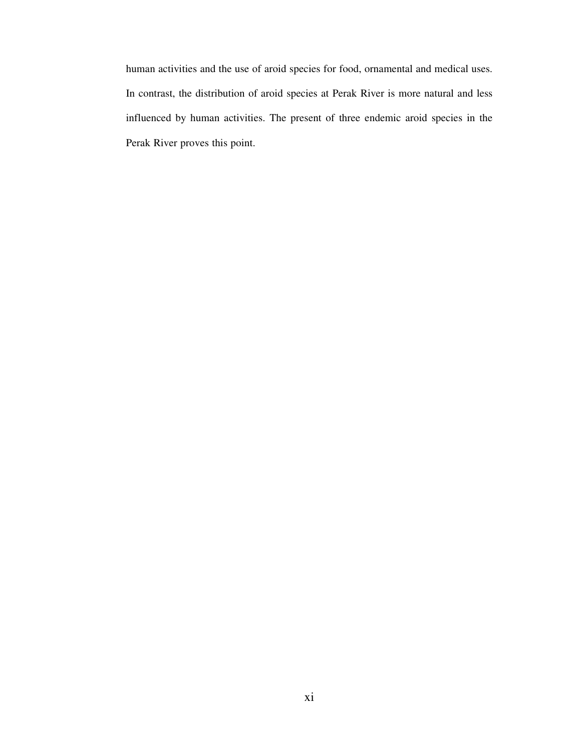human activities and the use of aroid species for food, ornamental and medical uses. In contrast, the distribution of aroid species at Perak River is more natural and less influenced by human activities. The present of three endemic aroid species in the Perak River proves this point.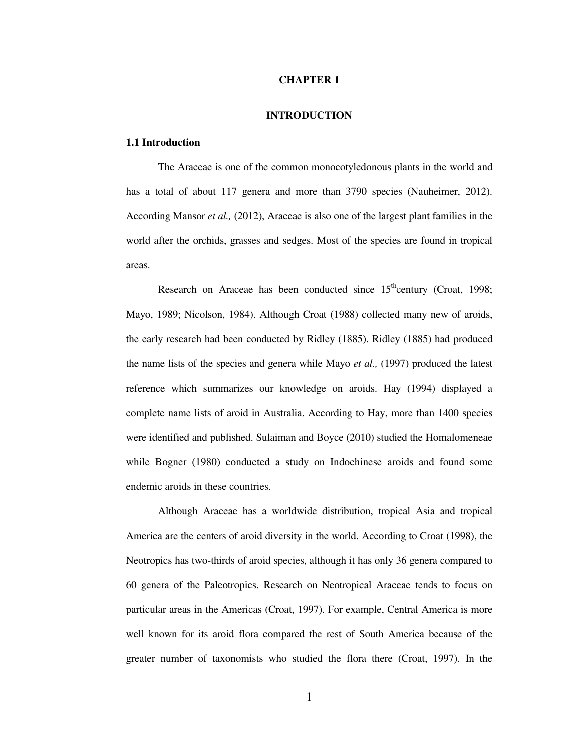#### **CHAPTER 1**

#### **INTRODUCTION**

#### **1.1 Introduction**

The Araceae is one of the common monocotyledonous plants in the world and has a total of about 117 genera and more than 3790 species (Nauheimer, 2012). According Mansor *et al.,* (2012), Araceae is also one of the largest plant families in the world after the orchids, grasses and sedges. Most of the species are found in tropical areas.

Research on Araceae has been conducted since  $15<sup>th</sup>$ century (Croat, 1998; Mayo, 1989; Nicolson, 1984). Although Croat (1988) collected many new of aroids, the early research had been conducted by Ridley (1885). Ridley (1885) had produced the name lists of the species and genera while Mayo *et al.,* (1997) produced the latest reference which summarizes our knowledge on aroids. Hay (1994) displayed a complete name lists of aroid in Australia. According to Hay, more than 1400 species were identified and published. Sulaiman and Boyce (2010) studied the Homalomeneae while Bogner (1980) conducted a study on Indochinese aroids and found some endemic aroids in these countries.

Although Araceae has a worldwide distribution, tropical Asia and tropical America are the centers of aroid diversity in the world. According to Croat (1998), the Neotropics has two-thirds of aroid species, although it has only 36 genera compared to 60 genera of the Paleotropics. Research on Neotropical Araceae tends to focus on particular areas in the Americas (Croat, 1997). For example, Central America is more well known for its aroid flora compared the rest of South America because of the greater number of taxonomists who studied the flora there (Croat, 1997). In the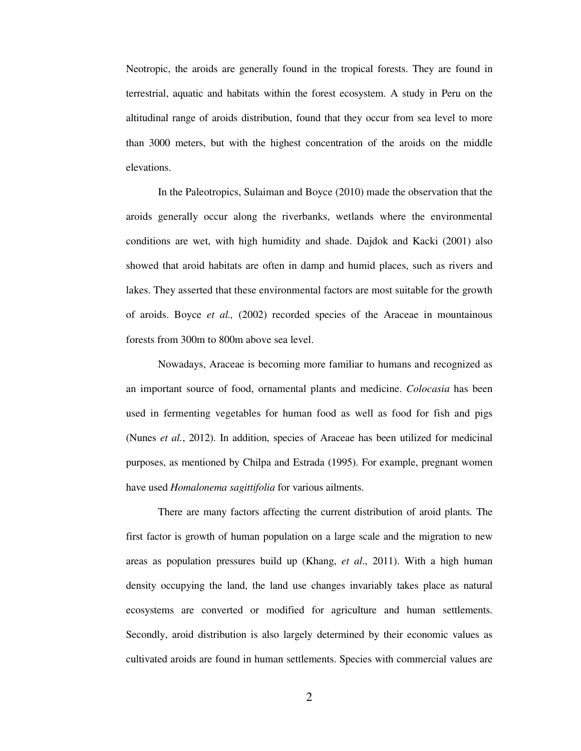Neotropic, the aroids are generally found in the tropical forests. They are found in terrestrial, aquatic and habitats within the forest ecosystem. A study in Peru on the altitudinal range of aroids distribution, found that they occur from sea level to more than 3000 meters, but with the highest concentration of the aroids on the middle elevations.

In the Paleotropics, Sulaiman and Boyce (2010) made the observation that the aroids generally occur along the riverbanks, wetlands where the environmental conditions are wet, with high humidity and shade. Dajdok and Kacki (2001) also showed that aroid habitats are often in damp and humid places, such as rivers and lakes. They asserted that these environmental factors are most suitable for the growth of aroids. Boyce *et al.,* (2002) recorded species of the Araceae in mountainous forests from 300m to 800m above sea level.

Nowadays, Araceae is becoming more familiar to humans and recognized as an important source of food, ornamental plants and medicine. *Colocasia* has been used in fermenting vegetables for human food as well as food for fish and pigs (Nunes *et al.*, 2012). In addition, species of Araceae has been utilized for medicinal purposes, as mentioned by Chilpa and Estrada (1995). For example, pregnant women have used *Homalonema sagittifolia* for various ailments.

There are many factors affecting the current distribution of aroid plants. The first factor is growth of human population on a large scale and the migration to new areas as population pressures build up (Khang, *et al*., 2011). With a high human density occupying the land, the land use changes invariably takes place as natural ecosystems are converted or modified for agriculture and human settlements. Secondly, aroid distribution is also largely determined by their economic values as cultivated aroids are found in human settlements. Species with commercial values are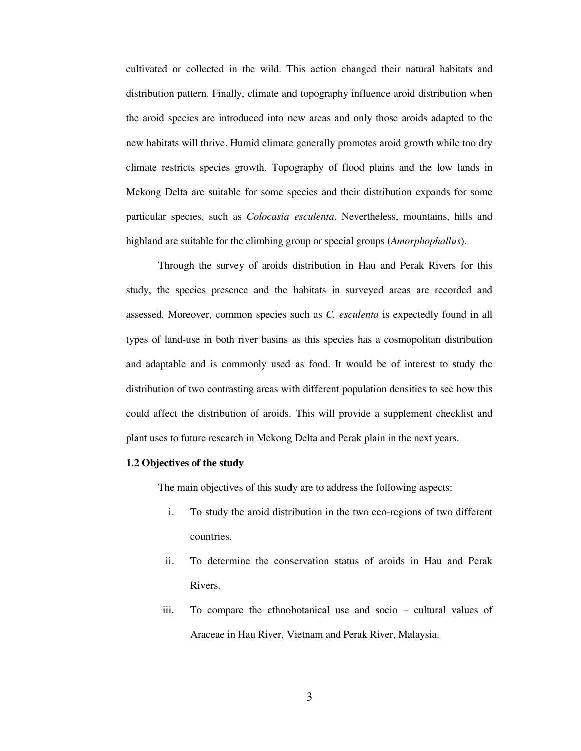cultivated or collected in the wild. This action changed their natural habitats and distribution pattern. Finally, climate and topography influence aroid distribution when the aroid species are introduced into new areas and only those aroids adapted to the new habitats will thrive. Humid climate generally promotes aroid growth while too dry climate restricts species growth. Topography of flood plains and the low lands in Mekong Delta are suitable for some species and their distribution expands for some particular species, such as *Colocasia esculenta*. Nevertheless, mountains, hills and highland are suitable for the climbing group or special groups (*Amorphophallus*).

Through the survey of aroids distribution in Hau and Perak Rivers for this study, the species presence and the habitats in surveyed areas are recorded and assessed. Moreover, common species such as *C. esculenta* is expectedly found in all types of land-use in both river basins as this species has a cosmopolitan distribution and adaptable and is commonly used as food. It would be of interest to study the distribution of two contrasting areas with different population densities to see how this could affect the distribution of aroids. This will provide a supplement checklist and plant uses to future research in Mekong Delta and Perak plain in the next years.

#### **1.2 Objectives of the study**

The main objectives of this study are to address the following aspects:

- i. To study the aroid distribution in the two eco-regions of two different countries.
- ii. To determine the conservation status of aroids in Hau and Perak Rivers.
- iii. To compare the ethnobotanical use and socio cultural values of Araceae in Hau River, Vietnam and Perak River, Malaysia.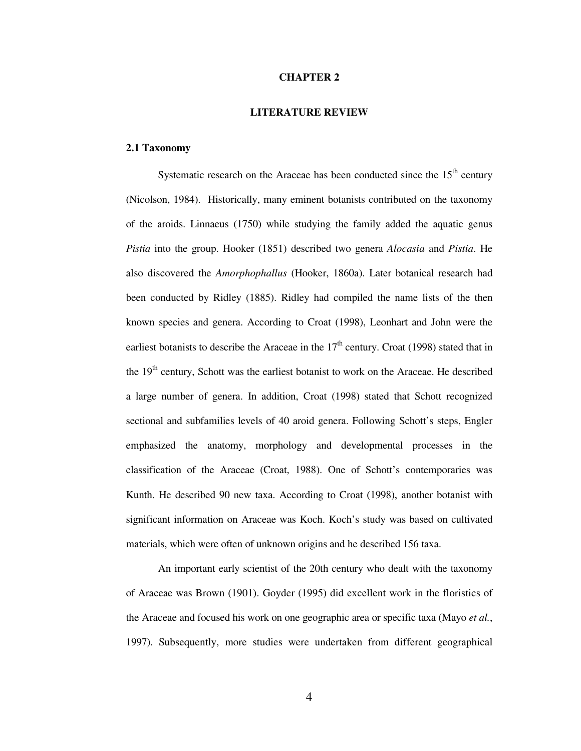#### **CHAPTER 2**

#### **LITERATURE REVIEW**

#### **2.1 Taxonomy**

Systematic research on the Araceae has been conducted since the  $15<sup>th</sup>$  century (Nicolson, 1984). Historically, many eminent botanists contributed on the taxonomy of the aroids. Linnaeus (1750) while studying the family added the aquatic genus *Pistia* into the group. Hooker (1851) described two genera *Alocasia* and *Pistia*. He also discovered the *Amorphophallus* (Hooker, 1860a). Later botanical research had been conducted by Ridley (1885). Ridley had compiled the name lists of the then known species and genera. According to Croat (1998), Leonhart and John were the earliest botanists to describe the Araceae in the  $17<sup>th</sup>$  century. Croat (1998) stated that in the 19<sup>th</sup> century, Schott was the earliest botanist to work on the Araceae. He described a large number of genera. In addition, Croat (1998) stated that Schott recognized sectional and subfamilies levels of 40 aroid genera. Following Schott's steps, Engler emphasized the anatomy, morphology and developmental processes in the classification of the Araceae (Croat, 1988). One of Schott's contemporaries was Kunth. He described 90 new taxa. According to Croat (1998), another botanist with significant information on Araceae was Koch. Koch's study was based on cultivated materials, which were often of unknown origins and he described 156 taxa.

An important early scientist of the 20th century who dealt with the taxonomy of Araceae was Brown (1901). Goyder (1995) did excellent work in the floristics of the Araceae and focused his work on one geographic area or specific taxa (Mayo *et al.*, 1997). Subsequently, more studies were undertaken from different geographical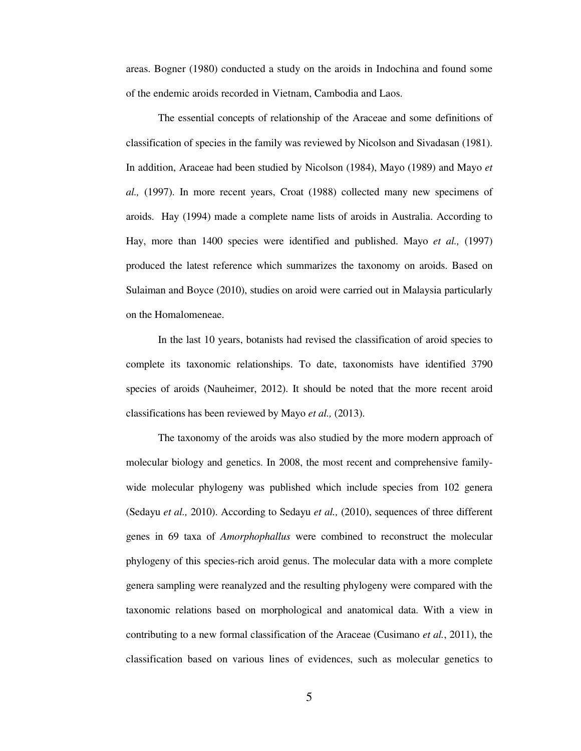areas. Bogner (1980) conducted a study on the aroids in Indochina and found some of the endemic aroids recorded in Vietnam, Cambodia and Laos.

The essential concepts of relationship of the Araceae and some definitions of classification of species in the family was reviewed by Nicolson and Sivadasan (1981). In addition, Araceae had been studied by Nicolson (1984), Mayo (1989) and Mayo *et al.,* (1997). In more recent years, Croat (1988) collected many new specimens of aroids. Hay (1994) made a complete name lists of aroids in Australia. According to Hay, more than 1400 species were identified and published. Mayo *et al.,* (1997) produced the latest reference which summarizes the taxonomy on aroids. Based on Sulaiman and Boyce (2010), studies on aroid were carried out in Malaysia particularly on the Homalomeneae.

In the last 10 years, botanists had revised the classification of aroid species to complete its taxonomic relationships. To date, taxonomists have identified 3790 species of aroids (Nauheimer, 2012). It should be noted that the more recent aroid classifications has been reviewed by Mayo *et al.,* (2013).

The taxonomy of the aroids was also studied by the more modern approach of molecular biology and genetics. In 2008, the most recent and comprehensive familywide molecular phylogeny was published which include species from 102 genera (Sedayu *et al.,* 2010). According to Sedayu *et al.,* (2010), sequences of three different genes in 69 taxa of *Amorphophallus* were combined to reconstruct the molecular phylogeny of this species-rich aroid genus. The molecular data with a more complete genera sampling were reanalyzed and the resulting phylogeny were compared with the taxonomic relations based on morphological and anatomical data. With a view in contributing to a new formal classification of the Araceae (Cusimano *et al.*, 2011), the classification based on various lines of evidences, such as molecular genetics to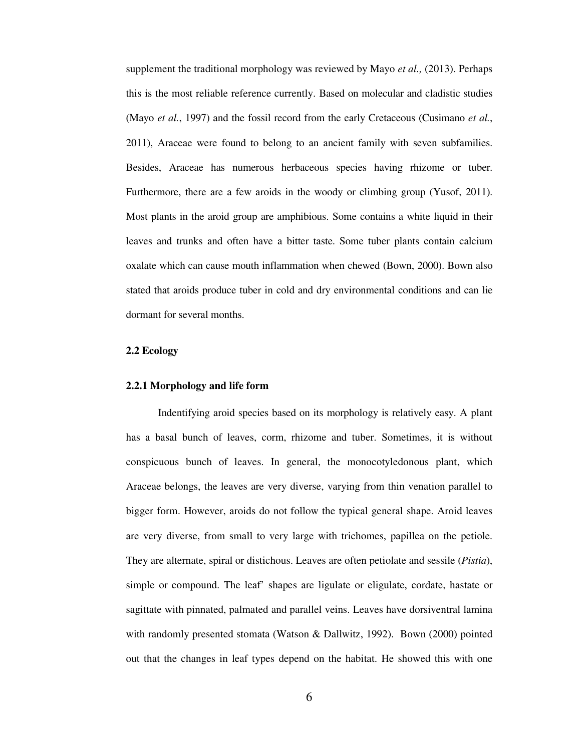supplement the traditional morphology was reviewed by Mayo *et al.,* (2013). Perhaps this is the most reliable reference currently. Based on molecular and cladistic studies (Mayo *et al.*, 1997) and the fossil record from the early Cretaceous (Cusimano *et al.*, 2011), Araceae were found to belong to an ancient family with seven subfamilies. Besides, Araceae has numerous herbaceous species having rhizome or tuber. Furthermore, there are a few aroids in the woody or climbing group (Yusof, 2011). Most plants in the aroid group are amphibious. Some contains a white liquid in their leaves and trunks and often have a bitter taste. Some tuber plants contain calcium oxalate which can cause mouth inflammation when chewed (Bown, 2000). Bown also stated that aroids produce tuber in cold and dry environmental conditions and can lie dormant for several months.

#### **2.2 Ecology**

#### **2.2.1 Morphology and life form**

Indentifying aroid species based on its morphology is relatively easy. A plant has a basal bunch of leaves, corm, rhizome and tuber. Sometimes, it is without conspicuous bunch of leaves. In general, the monocotyledonous plant, which Araceae belongs, the leaves are very diverse, varying from thin venation parallel to bigger form. However, aroids do not follow the typical general shape. Aroid leaves are very diverse, from small to very large with trichomes, papillea on the petiole. They are alternate, spiral or distichous. Leaves are often petiolate and sessile (*Pistia*), simple or compound. The leaf' shapes are ligulate or eligulate, cordate, hastate or sagittate with pinnated, palmated and parallel veins. Leaves have dorsiventral lamina with randomly presented stomata (Watson & Dallwitz, 1992). Bown (2000) pointed out that the changes in leaf types depend on the habitat. He showed this with one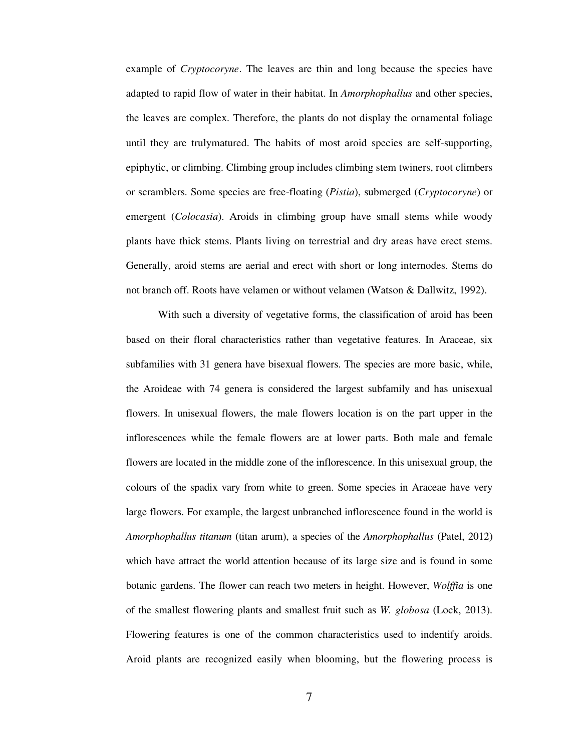example of *Cryptocoryne*. The leaves are thin and long because the species have adapted to rapid flow of water in their habitat. In *Amorphophallus* and other species, the leaves are complex. Therefore, the plants do not display the ornamental foliage until they are trulymatured. The habits of most aroid species are self-supporting, epiphytic, or climbing. Climbing group includes climbing stem twiners, root climbers or scramblers. Some species are free-floating (*Pistia*), submerged (*Cryptocoryne*) or emergent (*Colocasia*). Aroids in climbing group have small stems while woody plants have thick stems. Plants living on terrestrial and dry areas have erect stems. Generally, aroid stems are aerial and erect with short or long internodes. Stems do not branch off. Roots have velamen or without velamen (Watson & Dallwitz, 1992).

With such a diversity of vegetative forms, the classification of aroid has been based on their floral characteristics rather than vegetative features. In Araceae, six subfamilies with 31 genera have bisexual flowers. The species are more basic, while, the Aroideae with 74 genera is considered the largest subfamily and has unisexual flowers. In unisexual flowers, the male flowers location is on the part upper in the inflorescences while the female flowers are at lower parts. Both male and female flowers are located in the middle zone of the inflorescence. In this unisexual group, the colours of the spadix vary from white to green. Some species in Araceae have very large flowers. For example, the largest unbranched inflorescence found in the world is *Amorphophallus titanum* (titan arum), a species of the *Amorphophallus* (Patel, 2012) which have attract the world attention because of its large size and is found in some botanic gardens. The flower can reach two meters in height. However, *Wolffia* is one of the smallest flowering plants and smallest fruit such as *W. globosa* (Lock, 2013). Flowering features is one of the common characteristics used to indentify aroids. Aroid plants are recognized easily when blooming, but the flowering process is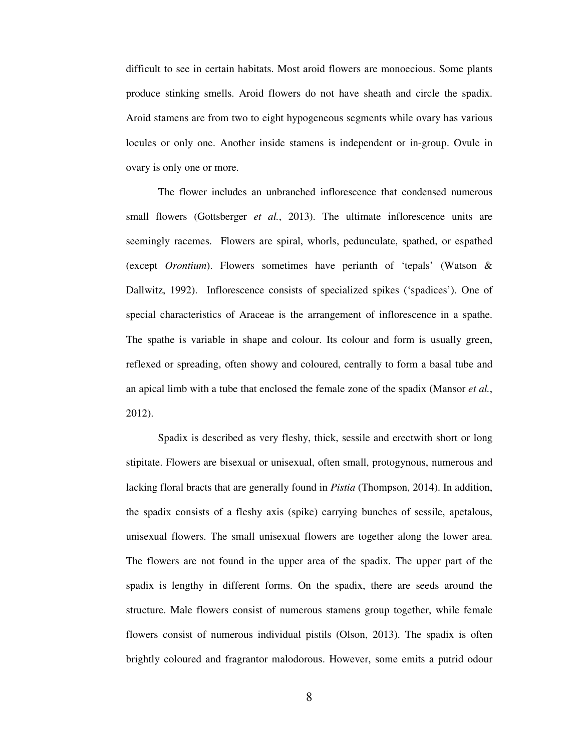difficult to see in certain habitats. Most aroid flowers are monoecious. Some plants produce stinking smells. Aroid flowers do not have sheath and circle the spadix. Aroid stamens are from two to eight hypogeneous segments while ovary has various locules or only one. Another inside stamens is independent or in-group. Ovule in ovary is only one or more.

The flower includes an unbranched inflorescence that condensed numerous small flowers (Gottsberger *et al.*, 2013). The ultimate inflorescence units are seemingly racemes. Flowers are spiral, whorls, pedunculate, spathed, or espathed (except *Orontium*). Flowers sometimes have perianth of 'tepals' (Watson & Dallwitz, 1992). Inflorescence consists of specialized spikes ('spadices'). One of special characteristics of Araceae is the arrangement of inflorescence in a spathe. The spathe is variable in shape and colour. Its colour and form is usually green, reflexed or spreading, often showy and coloured, centrally to form a basal tube and an apical limb with a tube that enclosed the female zone of the spadix (Mansor *et al.*, 2012).

Spadix is described as very fleshy, thick, sessile and erectwith short or long stipitate. Flowers are bisexual or unisexual, often small, protogynous, numerous and lacking floral bracts that are generally found in *Pistia* (Thompson, 2014). In addition, the spadix consists of a fleshy axis (spike) carrying bunches of sessile, apetalous, unisexual flowers. The small unisexual flowers are together along the lower area. The flowers are not found in the upper area of the spadix. The upper part of the spadix is lengthy in different forms. On the spadix, there are seeds around the structure. Male flowers consist of numerous stamens group together, while female flowers consist of numerous individual pistils (Olson, 2013). The spadix is often brightly coloured and fragrantor malodorous. However, some emits a putrid odour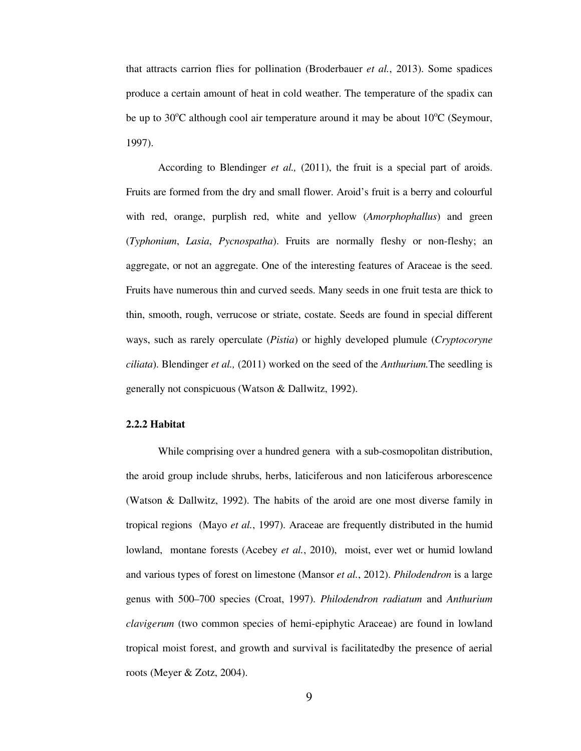that attracts carrion flies for pollination (Broderbauer *et al.*, 2013). Some spadices produce a certain amount of heat in cold weather. The temperature of the spadix can be up to 30 $\degree$ C although cool air temperature around it may be about 10 $\degree$ C (Seymour, 1997).

According to Blendinger *et al.,* (2011), the fruit is a special part of aroids. Fruits are formed from the dry and small flower. Aroid's fruit is a berry and colourful with red, orange, purplish red, white and yellow (*Amorphophallus*) and green (*Typhonium*, *Lasia*, *Pycnospatha*). Fruits are normally fleshy or non-fleshy; an aggregate, or not an aggregate. One of the interesting features of Araceae is the seed. Fruits have numerous thin and curved seeds. Many seeds in one fruit testa are thick to thin, smooth, rough, verrucose or striate, costate. Seeds are found in special different ways, such as rarely operculate (*Pistia*) or highly developed plumule (*Cryptocoryne ciliata*). Blendinger *et al.,* (2011) worked on the seed of the *Anthurium.*The seedling is generally not conspicuous (Watson & Dallwitz, 1992).

#### **2.2.2 Habitat**

While comprising over a hundred genera with a sub-cosmopolitan distribution, the aroid group include shrubs, herbs, laticiferous and non laticiferous arborescence (Watson & Dallwitz, 1992). The habits of the aroid are one most diverse family in tropical regions (Mayo *et al.*, 1997). Araceae are frequently distributed in the humid lowland, montane forests (Acebey *et al.*, 2010), moist, ever wet or humid lowland and various types of forest on limestone (Mansor *et al.*, 2012). *Philodendron* is a large genus with 500–700 species (Croat, 1997). *Philodendron radiatum* and *Anthurium clavigerum* (two common species of hemi-epiphytic Araceae) are found in lowland tropical moist forest, and growth and survival is facilitatedby the presence of aerial roots (Meyer & Zotz, 2004).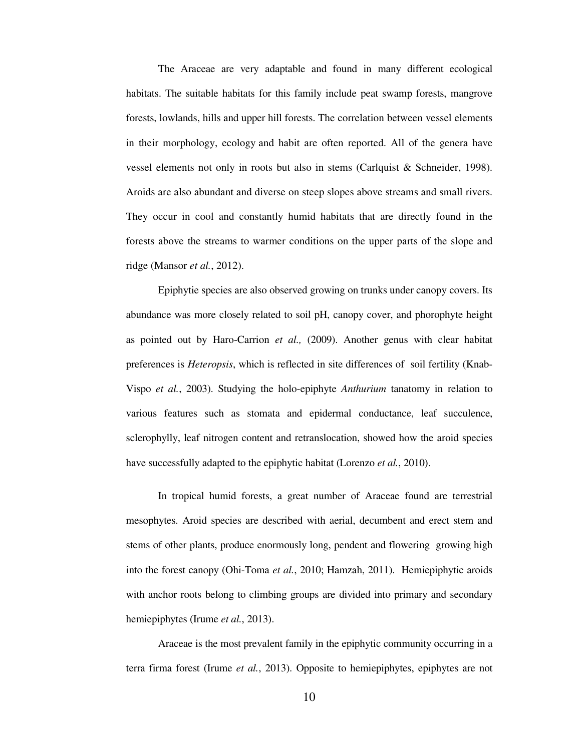The Araceae are very adaptable and found in many different ecological habitats. The suitable habitats for this family include peat swamp forests, mangrove forests, lowlands, hills and upper hill forests. The correlation between vessel elements in their morphology, ecology and habit are often reported. All of the genera have vessel elements not only in roots but also in stems (Carlquist & Schneider, 1998). Aroids are also abundant and diverse on steep slopes above streams and small rivers. They occur in cool and constantly humid habitats that are directly found in the forests above the streams to warmer conditions on the upper parts of the slope and ridge (Mansor *et al.*, 2012).

Epiphytie species are also observed growing on trunks under canopy covers. Its abundance was more closely related to soil pH, canopy cover, and phorophyte height as pointed out by Haro-Carrion *et al.,* (2009). Another genus with clear habitat preferences is *Heteropsis*, which is reflected in site differences of soil fertility (Knab-Vispo *et al.*, 2003). Studying the holo-epiphyte *Anthurium* tanatomy in relation to various features such as stomata and epidermal conductance, leaf succulence, sclerophylly, leaf nitrogen content and retranslocation, showed how the aroid species have successfully adapted to the epiphytic habitat (Lorenzo *et al.*, 2010).

In tropical humid forests, a great number of Araceae found are terrestrial mesophytes. Aroid species are described with aerial, decumbent and erect stem and stems of other plants, produce enormously long, pendent and flowering growing high into the forest canopy (Ohi-Toma *et al.*, 2010; Hamzah, 2011). Hemiepiphytic aroids with anchor roots belong to climbing groups are divided into primary and secondary hemiepiphytes (Irume *et al.*, 2013).

Araceae is the most prevalent family in the epiphytic community occurring in a terra firma forest (Irume *et al.*, 2013). Opposite to hemiepiphytes, epiphytes are not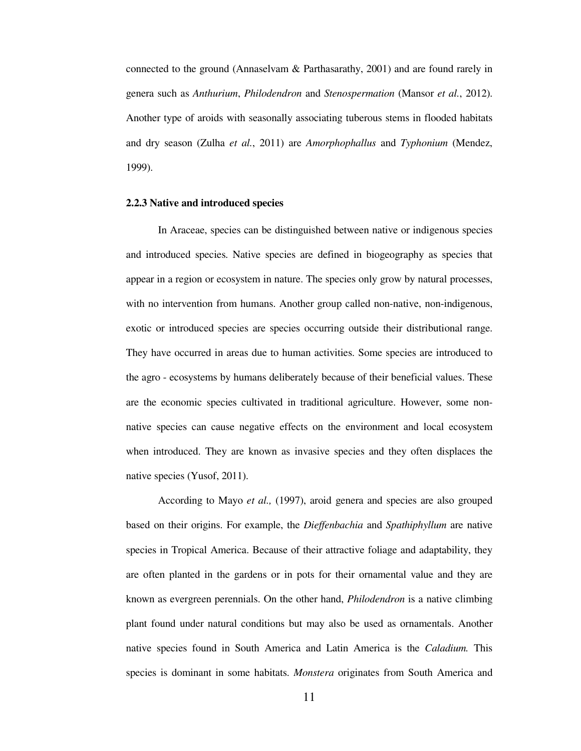connected to the ground (Annaselvam & Parthasarathy, 2001) and are found rarely in genera such as *Anthurium*, *Philodendron* and *Stenospermation* (Mansor *et al.*, 2012). Another type of aroids with seasonally associating tuberous stems in flooded habitats and dry season (Zulha *et al.*, 2011) are *Amorphophallus* and *Typhonium* (Mendez, 1999).

#### **2.2.3 Native and introduced species**

 In Araceae, species can be distinguished between native or indigenous species and introduced species. Native species are defined in biogeography as species that appear in a region or ecosystem in nature. The species only grow by natural processes, with no intervention from humans. Another group called non-native, non-indigenous, exotic or introduced species are species occurring outside their distributional range. They have occurred in areas due to human activities. Some species are introduced to the agro - ecosystems by humans deliberately because of their beneficial values. These are the economic species cultivated in traditional agriculture. However, some nonnative species can cause negative effects on the environment and local ecosystem when introduced. They are known as invasive species and they often displaces the native species (Yusof, 2011).

 According to Mayo *et al.,* (1997), aroid genera and species are also grouped based on their origins. For example, the *Dieffenbachia* and *Spathiphyllum* are native species in Tropical America. Because of their attractive foliage and adaptability, they are often planted in the gardens or in pots for their ornamental value and they are known as evergreen perennials. On the other hand, *Philodendron* is a native climbing plant found under natural conditions but may also be used as ornamentals. Another native species found in South America and Latin America is the *Caladium.* This species is dominant in some habitats. *Monstera* originates from South America and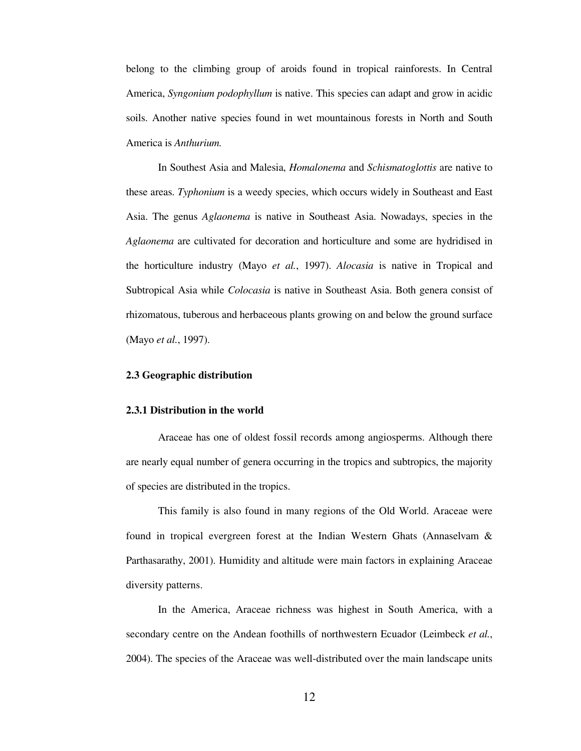belong to the climbing group of aroids found in tropical rainforests. In Central America, *Syngonium podophyllum* is native. This species can adapt and grow in acidic soils. Another native species found in wet mountainous forests in North and South America is *Anthurium.*

In Southest Asia and Malesia, *Homalonema* and *Schismatoglottis* are native to these areas. *Typhonium* is a weedy species, which occurs widely in Southeast and East Asia. The genus *Aglaonema* is native in Southeast Asia. Nowadays, species in the *Aglaonema* are cultivated for decoration and horticulture and some are hydridised in the horticulture industry (Mayo *et al.*, 1997). *Alocasia* is native in Tropical and Subtropical Asia while *Colocasia* is native in Southeast Asia. Both genera consist of rhizomatous, tuberous and herbaceous plants growing on and below the ground surface (Mayo *et al.*, 1997).

#### **2.3 Geographic distribution**

#### **2.3.1 Distribution in the world**

Araceae has one of oldest fossil records among angiosperms. Although there are nearly equal number of genera occurring in the tropics and subtropics, the majority of species are distributed in the tropics.

This family is also found in many regions of the Old World. Araceae were found in tropical evergreen forest at the Indian Western Ghats (Annaselvam & Parthasarathy, 2001). Humidity and altitude were main factors in explaining Araceae diversity patterns.

In the America, Araceae richness was highest in South America, with a secondary centre on the Andean foothills of northwestern Ecuador (Leimbeck *et al.*, 2004). The species of the Araceae was well-distributed over the main landscape units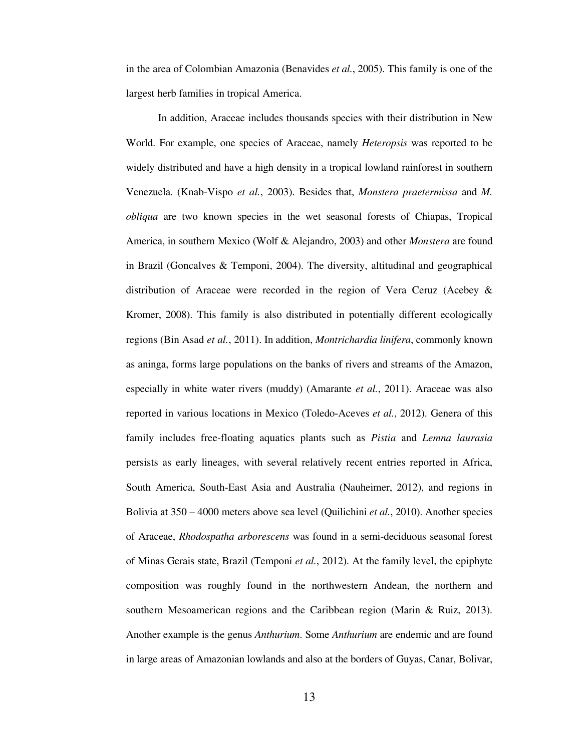in the area of Colombian Amazonia (Benavides *et al.*, 2005). This family is one of the largest herb families in tropical America.

In addition, Araceae includes thousands species with their distribution in New World. For example, one species of Araceae, namely *Heteropsis* was reported to be widely distributed and have a high density in a tropical lowland rainforest in southern Venezuela. (Knab-Vispo *et al.*, 2003). Besides that, *Monstera praetermissa* and *M. obliqua* are two known species in the wet seasonal forests of Chiapas, Tropical America, in southern Mexico (Wolf & Alejandro, 2003) and other *Monstera* are found in Brazil (Goncalves & Temponi, 2004). The diversity, altitudinal and geographical distribution of Araceae were recorded in the region of Vera Ceruz (Acebey & Kromer, 2008). This family is also distributed in potentially different ecologically regions (Bin Asad *et al.*, 2011). In addition, *Montrichardia linifera*, commonly known as aninga, forms large populations on the banks of rivers and streams of the Amazon, especially in white water rivers (muddy) (Amarante *et al.*, 2011). Araceae was also reported in various locations in Mexico (Toledo-Aceves *et al.*, 2012). Genera of this family includes free-floating aquatics plants such as *Pistia* and *Lemna laurasia*  persists as early lineages, with several relatively recent entries reported in Africa, South America, South-East Asia and Australia (Nauheimer, 2012), and regions in Bolivia at 350 – 4000 meters above sea level (Quilichini *et al.*, 2010). Another species of Araceae, *Rhodospatha arborescens* was found in a semi-deciduous seasonal forest of Minas Gerais state, Brazil (Temponi *et al.*, 2012). At the family level, the epiphyte composition was roughly found in the northwestern Andean, the northern and southern Mesoamerican regions and the Caribbean region (Marin & Ruiz, 2013). Another example is the genus *Anthurium*. Some *Anthurium* are endemic and are found in large areas of Amazonian lowlands and also at the borders of Guyas, Canar, Bolivar,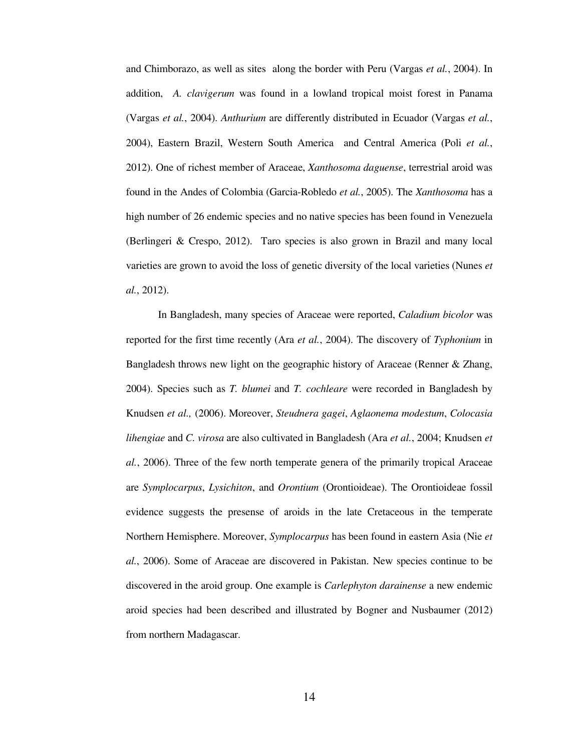and Chimborazo, as well as sites along the border with Peru (Vargas *et al.*, 2004). In addition, *A. clavigerum* was found in a lowland tropical moist forest in Panama (Vargas *et al.*, 2004). *Anthurium* are differently distributed in Ecuador (Vargas *et al.*, 2004), Eastern Brazil, Western South America and Central America (Poli *et al.*, 2012). One of richest member of Araceae, *Xanthosoma daguense*, terrestrial aroid was found in the Andes of Colombia (Garcia-Robledo *et al.*, 2005). The *Xanthosoma* has a high number of 26 endemic species and no native species has been found in Venezuela (Berlingeri & Crespo, 2012). Taro species is also grown in Brazil and many local varieties are grown to avoid the loss of genetic diversity of the local varieties (Nunes *et al.*, 2012).

In Bangladesh, many species of Araceae were reported, *Caladium bicolor* was reported for the first time recently (Ara *et al.*, 2004). The discovery of *Typhonium* in Bangladesh throws new light on the geographic history of Araceae (Renner & Zhang, 2004). Species such as *T. blumei* and *T. cochleare* were recorded in Bangladesh by Knudsen *et al.,* (2006). Moreover, *Steudnera gagei*, *Aglaonema modestum*, *Colocasia lihengiae* and *C. virosa* are also cultivated in Bangladesh (Ara *et al.*, 2004; Knudsen *et al.*, 2006). Three of the few north temperate genera of the primarily tropical Araceae are *Symplocarpus*, *Lysichiton*, and *Orontium* (Orontioideae). The Orontioideae fossil evidence suggests the presense of aroids in the late Cretaceous in the temperate Northern Hemisphere. Moreover, *Symplocarpus* has been found in eastern Asia (Nie *et al.*, 2006). Some of Araceae are discovered in Pakistan. New species continue to be discovered in the aroid group. One example is *Carlephyton darainense* a new endemic aroid species had been described and illustrated by Bogner and Nusbaumer (2012) from northern Madagascar.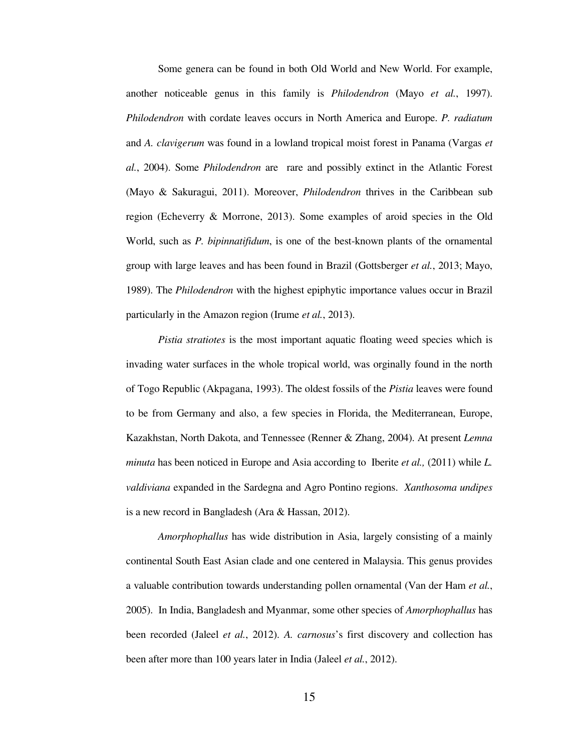Some genera can be found in both Old World and New World. For example, another noticeable genus in this family is *Philodendron* (Mayo *et al.*, 1997). *Philodendron* with cordate leaves occurs in North America and Europe. *P. radiatum* and *A. clavigerum* was found in a lowland tropical moist forest in Panama (Vargas *et al.*, 2004). Some *Philodendron* are rare and possibly extinct in the Atlantic Forest (Mayo & Sakuragui, 2011). Moreover, *Philodendron* thrives in the Caribbean sub region (Echeverry & Morrone, 2013). Some examples of aroid species in the Old World, such as *P. bipinnatifidum*, is one of the best-known plants of the ornamental group with large leaves and has been found in Brazil (Gottsberger *et al.*, 2013; Mayo, 1989). The *Philodendron* with the highest epiphytic importance values occur in Brazil particularly in the Amazon region (Irume *et al.*, 2013).

*Pistia stratiotes* is the most important aquatic floating weed species which is invading water surfaces in the whole tropical world, was orginally found in the north of Togo Republic (Akpagana, 1993). The oldest fossils of the *Pistia* leaves were found to be from Germany and also, a few species in Florida, the Mediterranean, Europe, Kazakhstan, North Dakota, and Tennessee (Renner & Zhang, 2004). At present *Lemna minuta* has been noticed in Europe and Asia according to Iberite *et al.,* (2011) while *L. valdiviana* expanded in the Sardegna and Agro Pontino regions. *Xanthosoma undipes* is a new record in Bangladesh (Ara & Hassan, 2012).

*Amorphophallus* has wide distribution in Asia, largely consisting of a mainly continental South East Asian clade and one centered in Malaysia. This genus provides a valuable contribution towards understanding pollen ornamental (Van der Ham *et al.*, 2005). In India, Bangladesh and Myanmar, some other species of *Amorphophallus* has been recorded (Jaleel *et al.*, 2012). *A. carnosus*'s first discovery and collection has been after more than 100 years later in India (Jaleel *et al.*, 2012).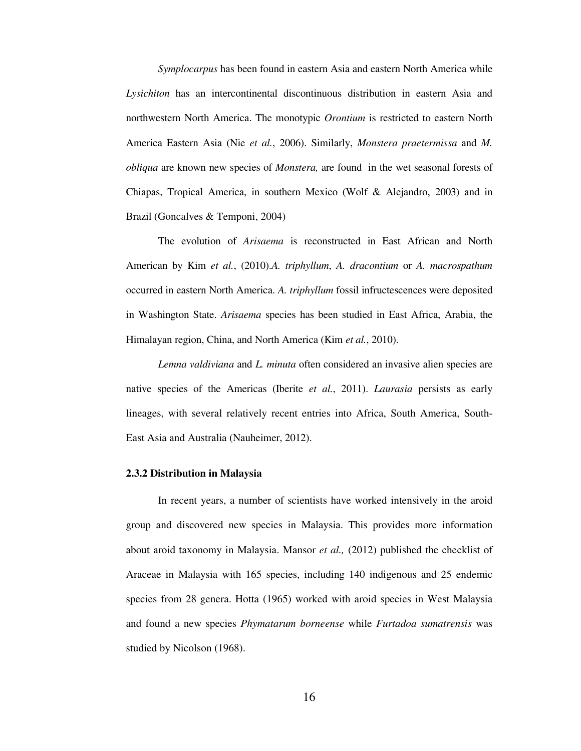*Symplocarpus* has been found in eastern Asia and eastern North America while *Lysichiton* has an intercontinental discontinuous distribution in eastern Asia and northwestern North America. The monotypic *Orontium* is restricted to eastern North America Eastern Asia (Nie *et al.*, 2006). Similarly, *Monstera praetermissa* and *M. obliqua* are known new species of *Monstera,* are found in the wet seasonal forests of Chiapas, Tropical America, in southern Mexico (Wolf & Alejandro, 2003) and in Brazil (Goncalves & Temponi, 2004)

The evolution of *Arisaema* is reconstructed in East African and North American by Kim *et al.*, (2010).*A. triphyllum*, *A. dracontium* or *A. macrospathum* occurred in eastern North America. *A. triphyllum* fossil infructescences were deposited in Washington State. *Arisaema* species has been studied in East Africa, Arabia, the Himalayan region, China, and North America (Kim *et al.*, 2010).

*Lemna valdiviana* and *L. minuta* often considered an invasive alien species are native species of the Americas (Iberite *et al.*, 2011). *Laurasia* persists as early lineages, with several relatively recent entries into Africa, South America, South-East Asia and Australia (Nauheimer, 2012).

#### **2.3.2 Distribution in Malaysia**

In recent years, a number of scientists have worked intensively in the aroid group and discovered new species in Malaysia. This provides more information about aroid taxonomy in Malaysia. Mansor *et al.,* (2012) published the checklist of Araceae in Malaysia with 165 species, including 140 indigenous and 25 endemic species from 28 genera. Hotta (1965) worked with aroid species in West Malaysia and found a new species *Phymatarum borneense* while *Furtadoa sumatrensis* was studied by Nicolson (1968).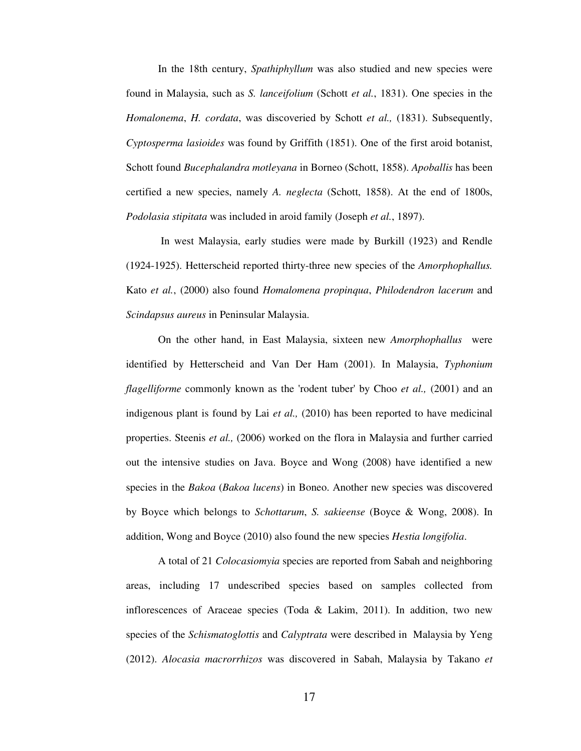In the 18th century, *Spathiphyllum* was also studied and new species were found in Malaysia, such as *S. lanceifolium* (Schott *et al.*, 1831). One species in the *Homalonema*, *H. cordata*, was discoveried by Schott *et al.,* (1831). Subsequently, *Cyptosperma lasioides* was found by Griffith (1851). One of the first aroid botanist, Schott found *Bucephalandra motleyana* in Borneo (Schott, 1858). *Apoballis* has been certified a new species, namely *A. neglecta* (Schott, 1858). At the end of 1800s, *Podolasia stipitata* was included in aroid family (Joseph *et al.*, 1897).

 In west Malaysia, early studies were made by Burkill (1923) and Rendle (1924-1925). Hetterscheid reported thirty-three new species of the *Amorphophallus.*  Kato *et al.*, (2000) also found *Homalomena propinqua*, *Philodendron lacerum* and *Scindapsus aureus* in Peninsular Malaysia.

On the other hand, in East Malaysia, sixteen new *Amorphophallus* were identified by Hetterscheid and Van Der Ham (2001). In Malaysia, *Typhonium flagelliforme* commonly known as the 'rodent tuber' by Choo *et al.,* (2001) and an indigenous plant is found by Lai *et al.,* (2010) has been reported to have medicinal properties. Steenis *et al.,* (2006) worked on the flora in Malaysia and further carried out the intensive studies on Java. Boyce and Wong (2008) have identified a new species in the *Bakoa* (*Bakoa lucens*) in Boneo. Another new species was discovered by Boyce which belongs to *Schottarum*, *S. sakieense* (Boyce & Wong, 2008). In addition, Wong and Boyce (2010) also found the new species *Hestia longifolia*.

A total of 21 *Colocasiomyia* species are reported from Sabah and neighboring areas, including 17 undescribed species based on samples collected from inflorescences of Araceae species (Toda & Lakim, 2011). In addition, two new species of the *Schismatoglottis* and *Calyptrata* were described in Malaysia by Yeng (2012). *Alocasia macrorrhizos* was discovered in Sabah, Malaysia by Takano *et*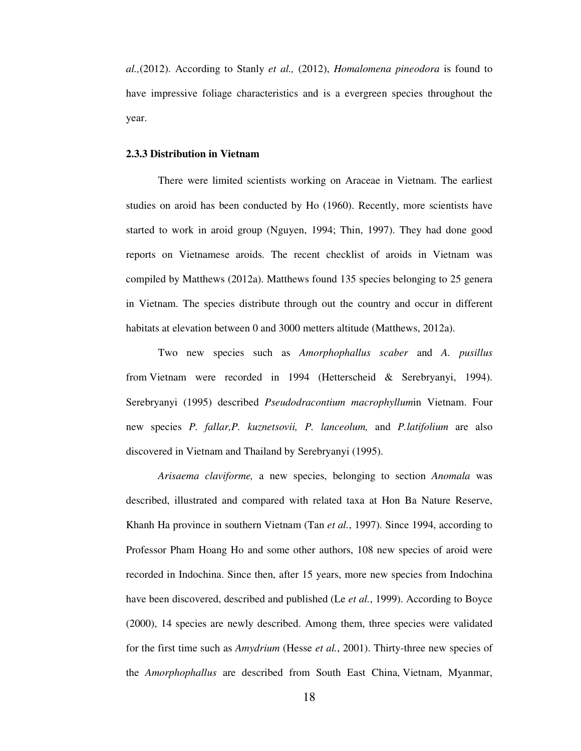*al.,*(2012). According to Stanly *et al.,* (2012), *Homalomena pineodora* is found to have impressive foliage characteristics and is a evergreen species throughout the year.

#### **2.3.3 Distribution in Vietnam**

There were limited scientists working on Araceae in Vietnam. The earliest studies on aroid has been conducted by Ho (1960). Recently, more scientists have started to work in aroid group (Nguyen, 1994; Thin, 1997). They had done good reports on Vietnamese aroids. The recent checklist of aroids in Vietnam was compiled by Matthews (2012a). Matthews found 135 species belonging to 25 genera in Vietnam. The species distribute through out the country and occur in different habitats at elevation between 0 and 3000 metters altitude (Matthews, 2012a).

Two new species such as *Amorphophallus scaber* and *A. pusillus* from Vietnam were recorded in 1994 (Hetterscheid & Serebryanyi, 1994). Serebryanyi (1995) described *Pseudodracontium macrophyllum*in Vietnam. Four new species *P. fallar,P. kuznetsovii, P. lanceolum,* and *P.latifolium* are also discovered in Vietnam and Thailand by Serebryanyi (1995).

*Arisaema claviforme,* a new species, belonging to section *Anomala* was described, illustrated and compared with related taxa at Hon Ba Nature Reserve, Khanh Ha province in southern Vietnam (Tan *et al.*, 1997). Since 1994, according to Professor Pham Hoang Ho and some other authors, 108 new species of aroid were recorded in Indochina. Since then, after 15 years, more new species from Indochina have been discovered, described and published (Le *et al.*, 1999). According to Boyce (2000), 14 species are newly described. Among them, three species were validated for the first time such as *Amydrium* (Hesse *et al.*, 2001). Thirty-three new species of the *Amorphophallus* are described from South East China, Vietnam, Myanmar,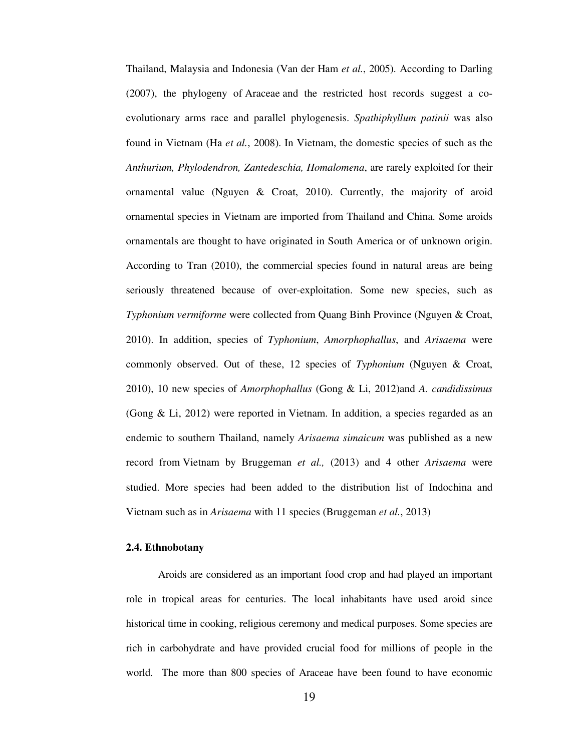Thailand, Malaysia and Indonesia (Van der Ham *et al.*, 2005). According to Darling (2007), the phylogeny of Araceae and the restricted host records suggest a coevolutionary arms race and parallel phylogenesis. *Spathiphyllum patinii* was also found in Vietnam (Ha *et al.*, 2008). In Vietnam, the domestic species of such as the *Anthurium, Phylodendron, Zantedeschia, Homalomena*, are rarely exploited for their ornamental value (Nguyen & Croat, 2010). Currently, the majority of aroid ornamental species in Vietnam are imported from Thailand and China. Some aroids ornamentals are thought to have originated in South America or of unknown origin. According to Tran (2010), the commercial species found in natural areas are being seriously threatened because of over-exploitation. Some new species, such as *Typhonium vermiforme* were collected from Quang Binh Province (Nguyen & Croat, 2010). In addition, species of *Typhonium*, *Amorphophallus*, and *Arisaema* were commonly observed. Out of these, 12 species of *Typhonium* (Nguyen & Croat, 2010), 10 new species of *Amorphophallus* (Gong & Li, 2012)and *A. candidissimus*  (Gong & Li, 2012) were reported in Vietnam. In addition, a species regarded as an endemic to southern Thailand, namely *Arisaema simaicum* was published as a new record from Vietnam by Bruggeman *et al.,* (2013) and 4 other *Arisaema* were studied. More species had been added to the distribution list of Indochina and Vietnam such as in *Arisaema* with 11 species (Bruggeman *et al.*, 2013)

#### **2.4. Ethnobotany**

Aroids are considered as an important food crop and had played an important role in tropical areas for centuries. The local inhabitants have used aroid since historical time in cooking, religious ceremony and medical purposes. Some species are rich in carbohydrate and have provided crucial food for millions of people in the world. The more than 800 species of Araceae have been found to have economic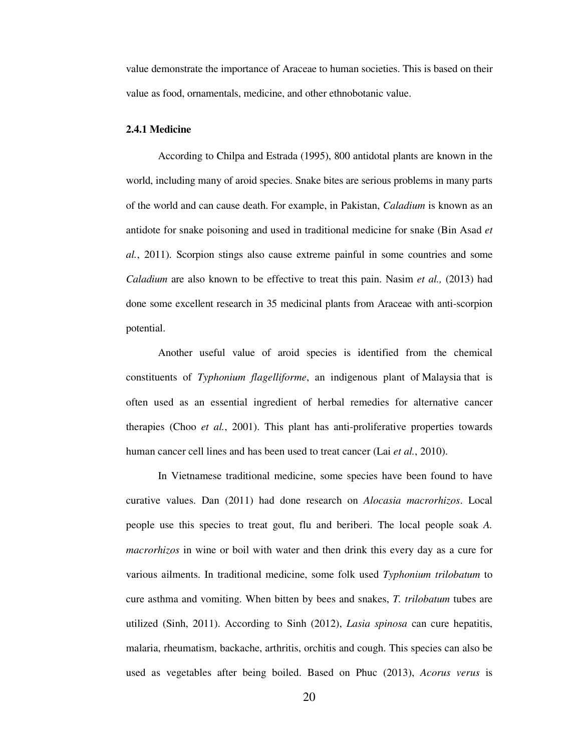value demonstrate the importance of Araceae to human societies. This is based on their value as food, ornamentals, medicine, and other ethnobotanic value.

#### **2.4.1 Medicine**

According to Chilpa and Estrada (1995), 800 antidotal plants are known in the world, including many of aroid species. Snake bites are serious problems in many parts of the world and can cause death. For example, in Pakistan, *Caladium* is known as an antidote for snake poisoning and used in traditional medicine for snake (Bin Asad *et al.*, 2011). Scorpion stings also cause extreme painful in some countries and some *Caladium* are also known to be effective to treat this pain. Nasim *et al.,* (2013) had done some excellent research in 35 medicinal plants from Araceae with anti-scorpion potential.

Another useful value of aroid species is identified from the chemical constituents of *Typhonium flagelliforme*, an indigenous plant of Malaysia that is often used as an essential ingredient of herbal remedies for alternative cancer therapies (Choo *et al.*, 2001). This plant has anti-proliferative properties towards human cancer cell lines and has been used to treat cancer (Lai *et al.*, 2010).

In Vietnamese traditional medicine, some species have been found to have curative values. Dan (2011) had done research on *Alocasia macrorhizos*. Local people use this species to treat gout, flu and beriberi. The local people soak *A. macrorhizos* in wine or boil with water and then drink this every day as a cure for various ailments. In traditional medicine, some folk used *Typhonium trilobatum* to cure asthma and vomiting. When bitten by bees and snakes, *T. trilobatum* tubes are utilized (Sinh, 2011). According to Sinh (2012), *Lasia spinosa* can cure hepatitis, malaria, rheumatism, backache, arthritis, orchitis and cough. This species can also be used as vegetables after being boiled. Based on Phuc (2013), *Acorus verus* is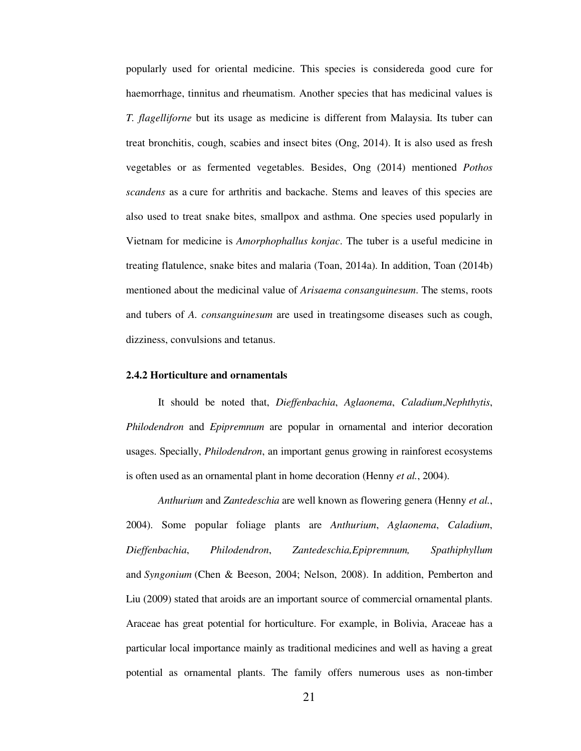popularly used for oriental medicine. This species is considereda good cure for haemorrhage, tinnitus and rheumatism. Another species that has medicinal values is *T. flagelliforne* but its usage as medicine is different from Malaysia. Its tuber can treat bronchitis, cough, scabies and insect bites (Ong, 2014). It is also used as fresh vegetables or as fermented vegetables. Besides, Ong (2014) mentioned *Pothos scandens* as a cure for arthritis and backache. Stems and leaves of this species are also used to treat snake bites, smallpox and asthma. One species used popularly in Vietnam for medicine is *Amorphophallus konjac*. The tuber is a useful medicine in treating flatulence, snake bites and malaria (Toan, 2014a). In addition, Toan (2014b) mentioned about the medicinal value of *Arisaema consanguinesum*. The stems, roots and tubers of *A. consanguinesum* are used in treatingsome diseases such as cough, dizziness, convulsions and tetanus.

#### **2.4.2 Horticulture and ornamentals**

It should be noted that, *Dieffenbachia*, *Aglaonema*, *Caladium*,*Nephthytis*, *Philodendron* and *Epipremnum* are popular in ornamental and interior decoration usages. Specially, *Philodendron*, an important genus growing in rainforest ecosystems is often used as an ornamental plant in home decoration (Henny *et al.*, 2004).

*Anthurium* and *Zantedeschia* are well known as flowering genera (Henny *et al.*, 2004). Some popular foliage plants are *Anthurium*, *Aglaonema*, *Caladium*, *Dieffenbachia*, *Philodendron*, *Zantedeschia,Epipremnum, Spathiphyllum*  and *Syngonium* (Chen & Beeson, 2004; Nelson, 2008). In addition, Pemberton and Liu (2009) stated that aroids are an important source of commercial ornamental plants. Araceae has great potential for horticulture. For example, in Bolivia, Araceae has a particular local importance mainly as traditional medicines and well as having a great potential as ornamental plants. The family offers numerous uses as non-timber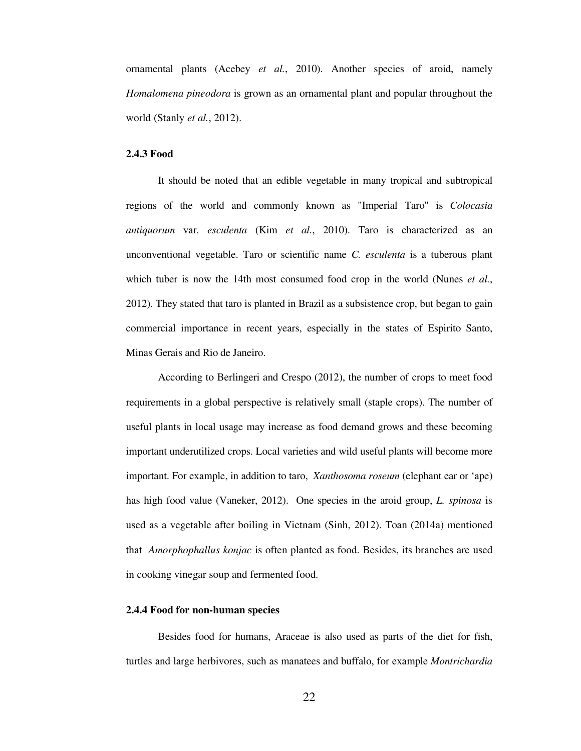ornamental plants (Acebey *et al.*, 2010). Another species of aroid, namely *Homalomena pineodora* is grown as an ornamental plant and popular throughout the world (Stanly *et al.*, 2012).

#### **2.4.3 Food**

It should be noted that an edible vegetable in many tropical and subtropical regions of the world and commonly known as "Imperial Taro" is *Colocasia antiquorum* var. *esculenta* (Kim *et al.*, 2010). Taro is characterized as an unconventional vegetable. Taro or scientific name *C. esculenta* is a tuberous plant which tuber is now the 14th most consumed food crop in the world (Nunes *et al.*, 2012). They stated that taro is planted in Brazil as a subsistence crop, but began to gain commercial importance in recent years, especially in the states of Espirito Santo, Minas Gerais and Rio de Janeiro.

According to Berlingeri and Crespo (2012), the number of crops to meet food requirements in a global perspective is relatively small (staple crops). The number of useful plants in local usage may increase as food demand grows and these becoming important underutilized crops. Local varieties and wild useful plants will become more important. For example, in addition to taro, *Xanthosoma roseum* (elephant ear or 'ape) has high food value (Vaneker, 2012). One species in the aroid group, *L. spinosa* is used as a vegetable after boiling in Vietnam (Sinh, 2012). Toan (2014a) mentioned that *Amorphophallus konjac* is often planted as food. Besides, its branches are used in cooking vinegar soup and fermented food.

#### **2.4.4 Food for non-human species**

Besides food for humans, Araceae is also used as parts of the diet for fish, turtles and large herbivores, such as manatees and buffalo, for example *Montrichardia*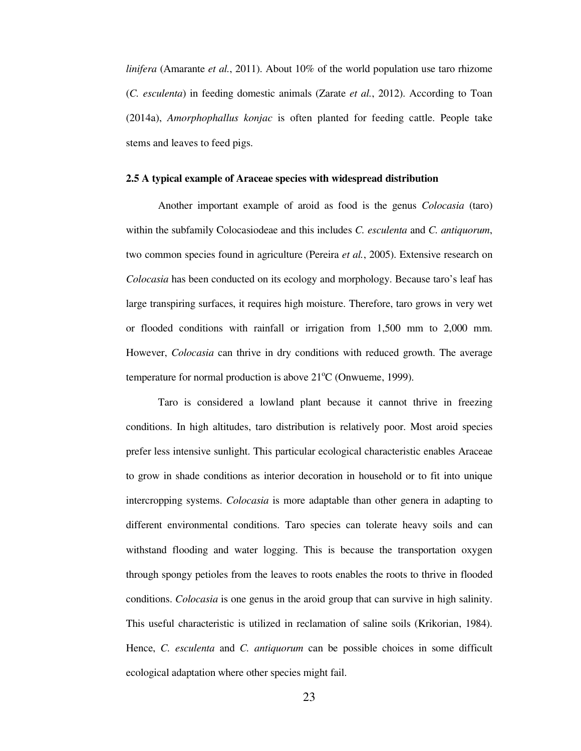*linifera* (Amarante *et al.*, 2011). About 10% of the world population use taro rhizome (*C. esculenta*) in feeding domestic animals (Zarate *et al.*, 2012). According to Toan (2014a), *Amorphophallus konjac* is often planted for feeding cattle. People take stems and leaves to feed pigs.

#### **2.5 A typical example of Araceae species with widespread distribution**

Another important example of aroid as food is the genus *Colocasia* (taro) within the subfamily Colocasiodeae and this includes *C. esculenta* and *C. antiquorum*, two common species found in agriculture (Pereira *et al.*, 2005). Extensive research on *Colocasia* has been conducted on its ecology and morphology. Because taro's leaf has large transpiring surfaces, it requires high moisture. Therefore, taro grows in very wet or flooded conditions with rainfall or irrigation from 1,500 mm to 2,000 mm. However, *Colocasia* can thrive in dry conditions with reduced growth. The average temperature for normal production is above  $21^{\circ}$ C (Onwueme, 1999).

Taro is considered a lowland plant because it cannot thrive in freezing conditions. In high altitudes, taro distribution is relatively poor. Most aroid species prefer less intensive sunlight. This particular ecological characteristic enables Araceae to grow in shade conditions as interior decoration in household or to fit into unique intercropping systems. *Colocasia* is more adaptable than other genera in adapting to different environmental conditions. Taro species can tolerate heavy soils and can withstand flooding and water logging. This is because the transportation oxygen through spongy petioles from the leaves to roots enables the roots to thrive in flooded conditions. *Colocasia* is one genus in the aroid group that can survive in high salinity. This useful characteristic is utilized in reclamation of saline soils (Krikorian, 1984). Hence, *C. esculenta* and *C. antiquorum* can be possible choices in some difficult ecological adaptation where other species might fail.